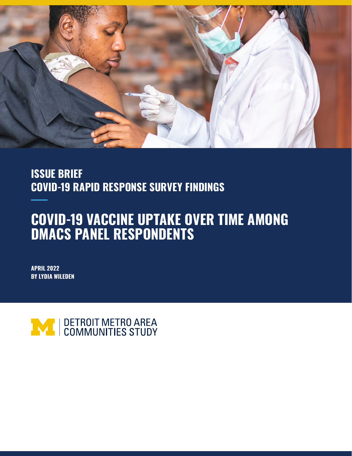

## **ISSUE BRIEF COVID-19 RAPID RESPONSE SURVEY FINDINGS**

# **COVID-19 VACCINE UPTAKE OVER TIME AMONG DMACS PANEL RESPONDENTS**

**APRIL 2022 BY LYDIA WILEDEN**

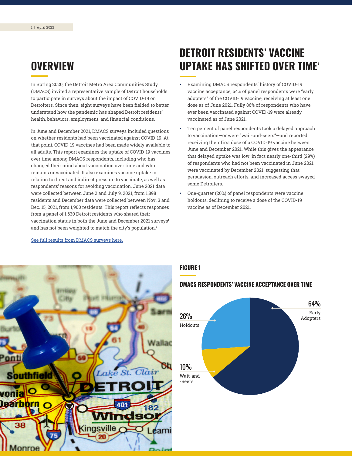### <span id="page-1-0"></span>**OVERVIEW**

In Spring 2020, the Detroit Metro Area Communities Study (DMACS) invited a representative sample of Detroit households to participate in surveys about the impact of COVID-19 on Detroiters. Since then, eight surveys have been fielded to better understand how the pandemic has shaped Detroit residents' health, behaviors, employment, and financial conditions.

In June and December 2021, DMACS surveys included questions on whether residents had been vaccinated against COVID-19. At that point, COVID-19 vaccines had been made widely available to all adults. This report examines the uptake of COVID-19 vaccines over time among DMACS respondents, including who has changed their mind about vaccination over time and who remains unvaccinated. It also examines vaccine uptake in relation to direct and indirect pressure to vaccinate, as well as respondents' reasons for avoiding vaccination. June 2021 data were collected between June 2 and July 9, 2021, from 1,898 residents and December data were collected between Nov. 3 and Dec. 15, 2021, from 1,900 residents. This report reflects responses from a panel of 1,630 Detroit residents who shared their vaccination status in both the June and December 2021 surveys**[1](#page-9-0)** and has not been weighted to match the city's population.**[2](#page-9-0)**

## **DETROIT RESIDENTS' VACCINE UPTAKE HAS SHIFTED OVER TIME<sup>3</sup>**

- Examining DMACS respondents' history of COVID-19 vaccine acceptance, 64% of panel respondents were "early adopters" of the COVID-19 vaccine, receiving at least one dose as of June 2021. Fully 86% of respondents who have ever been vaccinated against COVID-19 were already vaccinated as of June 2021.
- Ten percent of panel respondents took a delayed approach to vaccination—or were "wait-and-seers"—and reported receiving their first dose of a COVID-19 vaccine between June and December 2021. While this gives the appearance that delayed uptake was low, in fact nearly one-third (29%) of respondents who had not been vaccinated in June 2021 were vaccinated by December 2021, suggesting that persuasion, outreach efforts, and increased access swayed some Detroiters.
- One-quarter (26%) of panel respondents were vaccine holdouts, declining to receive a dose of the COVID-19 vaccine as of December 2021.



[See full results from DMACS surveys here.](https://detroitsurvey.umich.edu/findings/covid-19/)

#### **FIGURE 1**

#### **DMACS RESPONDENTS' VACCINE ACCEPTANCE OVER TIME**

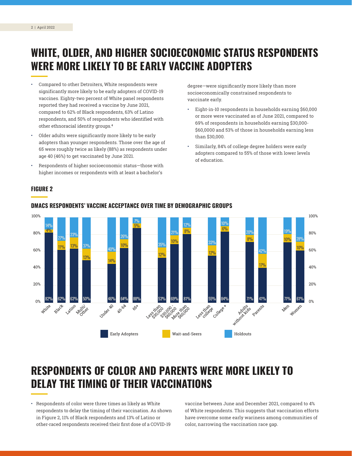## <span id="page-2-0"></span>**WHITE, OLDER, AND HIGHER SOCIOECONOMIC STATUS RESPONDENTS WERE MORE LIKELY TO BE EARLY VACCINE ADOPTERS**

- Compared to other Detroiters, White respondents were significantly more likely to be early adopters of COVID-19 vaccines. Eighty-two percent of White panel respondents reported they had received a vaccine by June 2021, compared to 62% of Black respondents, 63% of Latino respondents, and 50% of respondents who identified with other ethnoracial identity groups. **[4](#page-9-0)**
- Older adults were significantly more likely to be early adopters than younger respondents. Those over the age of 65 were roughly twice as likely (88%) as respondents under age 40 (46%) to get vaccinated by June 2021.
- Respondents of higher socioeconomic status—those with higher incomes or respondents with at least a bachelor's

degree—were significantly more likely than more socioeconomically constrained respondents to vaccinate early.

- Eight-in-10 respondents in households earning \$60,000 or more were vaccinated as of June 2021, compared to 69% of respondents in households earning \$30,000- \$60,0000 and 53% of those in households earning less than \$30,000.
- Similarly, 84% of college degree holders were early adopters compared to 55% of those with lower levels of education.

#### **FIGURE 2**



#### **DMACS RESPONDENTS' VACCINE ACCEPTANCE OVER TIME BY DEMOGRAPHIC GROUPS**

### **RESPONDENTS OF COLOR AND PARENTS WERE MORE LIKELY TO DELAY THE TIMING OF THEIR VACCINATIONS**

• Respondents of color were three times as likely as White respondents to delay the timing of their vaccination. As shown in Figure 2, 11% of Black respondents and 13% of Latino or other-raced respondents received their first dose of a COVID-19

vaccine between June and December 2021, compared to 4% of White respondents. This suggests that vaccination efforts have overcome some early wariness among communities of color, narrowing the vaccination race gap.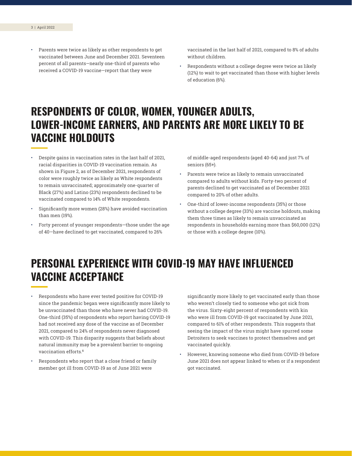<span id="page-3-0"></span>Parents were twice as likely as other respondents to get vaccinated between June and December 2021. Seventeen percent of all parents—nearly one-third of parents who received a COVID-19 vaccine—report that they were

vaccinated in the last half of 2021, compared to 8% of adults without children.

• Respondents without a college degree were twice as likely (12%) to wait to get vaccinated than those with higher levels of education (6%).

## **RESPONDENTS OF COLOR, WOMEN, YOUNGER ADULTS, LOWER-INCOME EARNERS, AND PARENTS ARE MORE LIKELY TO BE VACCINE HOLDOUTS**

- Despite gains in vaccination rates in the last half of 2021, racial disparities in COVID-19 vaccination remain. As shown in Figure 2, as of December 2021, respondents of color were roughly twice as likely as White respondents to remain unvaccinated; approximately one-quarter of Black (27%) and Latino (23%) respondents declined to be vaccinated compared to 14% of White respondents.
- Significantly more women (28%) have avoided vaccination than men (19%).
- Forty percent of younger respondents—those under the age of 40—have declined to get vaccinated, compared to 26%

of middle-aged respondents (aged 40-64) and just 7% of seniors (65+).

- Parents were twice as likely to remain unvaccinated compared to adults without kids. Forty-two percent of parents declined to get vaccinated as of December 2021 compared to 20% of other adults.
- One-third of lower-income respondents (35%) or those without a college degree (33%) are vaccine holdouts, making them three times as likely to remain unvaccinated as respondents in households earning more than \$60,000 (12%) or those with a college degree (10%).

## **PERSONAL EXPERIENCE WITH COVID-19 MAY HAVE INFLUENCED VACCINE ACCEPTANCE**

- Respondents who have ever tested positive for COVID-19 since the pandemic began were significantly more likely to be unvaccinated than those who have never had COVID-19. One-third (35%) of respondents who report having COVID-19 had not received any dose of the vaccine as of December 2021, compared to 24% of respondents never diagnosed with COVID-19. This disparity suggests that beliefs about natural immunity may be a prevalent barrier to ongoing vaccination efforts.**[5](#page-9-0)**
- Respondents who report that a close friend or family member got ill from COVID-19 as of June 2021 were

significantly more likely to get vaccinated early than those who weren't closely tied to someone who got sick from the virus. Sixty-eight percent of respondents with kin who were ill from COVID-19 got vaccinated by June 2021, compared to 61% of other respondents. This suggests that seeing the impact of the virus might have spurred some Detroiters to seek vaccines to protect themselves and get vaccinated quickly.

• However, knowing someone who died from COVID-19 before June 2021 does not appear linked to when or if a respondent got vaccinated.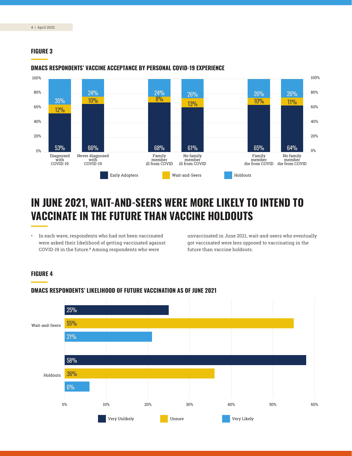#### <span id="page-4-0"></span>**FIGURE 3**



#### **DMACS RESPONDENTS' VACCINE ACCEPTANCE BY PERSONAL COVID-19 EXPERIENCE**

## **IN JUNE 2021, WAIT-AND-SEERS WERE MORE LIKELY TO INTEND TO VACCINATE IN THE FUTURE THAN VACCINE HOLDOUTS**

• In each wave, respondents who had not been vaccinated were asked their likelihood of getting vaccinated against COVID-19 in the future.**[6](#page-9-0)** Among respondents who were

unvaccinated in June 2021, wait-and-seers who eventually got vaccinated were less opposed to vaccinating in the future than vaccine holdouts.

#### **FIGURE 4**



#### **DMACS RESPONDENTS' LIKELIHOOD OF FUTURE VACCINATION AS OF JUNE 2021**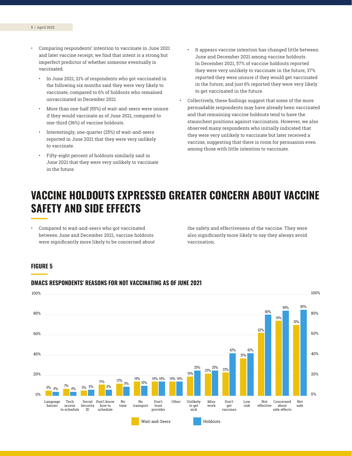- Comparing respondents' intention to vaccinate in June 2021 and later vaccine receipt, we find that intent is a strong but imperfect predictor of whether someone eventually is vaccinated.
	- In June 2021, 21% of respondents who got vaccinated in the following six months said they were very likely to vaccinate, compared to 6% of holdouts who remained unvaccinated in December 2021.
	- More than one-half (55%) of wait-and-seers were unsure if they would vaccinate as of June 2021, compared to one-third (36%) of vaccine holdouts.
	- Interestingly, one-quarter (25%) of wait-and-seers reported in June 2021 that they were very unlikely to vaccinate.
	- Fifty-eight percent of holdouts similarly said in June 2021 that they were very unlikely to vaccinate in the future.
- It appears vaccine intention has changed little between June and December 2021 among vaccine holdouts. In December 2021, 57% of vaccine holdouts reported they were very unlikely to vaccinate in the future, 37% reported they were unsure if they would get vaccinated in the future, and just 6% reported they were very likely to get vaccinated in the future.
- Collectively, these findings suggest that some of the more persuadable respondents may have already been vaccinated and that remaining vaccine holdouts tend to have the staunchest positions against vaccination. However, we also observed many respondents who initially indicated that they were very unlikely to vaccinate but later received a vaccine, suggesting that there is room for persuasion even among those with little intention to vaccinate.

### **VACCINE HOLDOUTS EXPRESSED GREATER CONCERN ABOUT VACCINE SAFETY AND SIDE EFFECTS**

• Compared to wait-and-seers who got vaccinated between June and December 2021, vaccine holdouts were significantly more likely to be concerned about

the safety and effectiveness of the vaccine. They were also significantly more likely to say they always avoid vaccination.

#### **FIGURE 5**



#### **DMACS RESPONDENTS' REASONS FOR NOT VACCINATING AS OF JUNE 2021**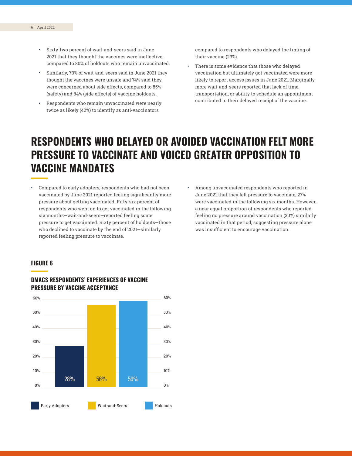- Sixty-two percent of wait-and-seers said in June 2021 that they thought the vaccines were ineffective, compared to 80% of holdouts who remain unvaccinated.
- Similarly, 70% of wait-and-seers said in June 2021 they thought the vaccines were unsafe and 74% said they were concerned about side effects, compared to 85% (safety) and 84% (side effects) of vaccine holdouts.
- Respondents who remain unvaccinated were nearly twice as likely (42%) to identify as anti-vaccinators

compared to respondents who delayed the timing of their vaccine (23%).

There is some evidence that those who delayed vaccination but ultimately got vaccinated were more likely to report access issues in June 2021. Marginally more wait-and-seers reported that lack of time, transportation, or ability to schedule an appointment contributed to their delayed receipt of the vaccine.

### **RESPONDENTS WHO DELAYED OR AVOIDED VACCINATION FELT MORE PRESSURE TO VACCINATE AND VOICED GREATER OPPOSITION TO VACCINE MANDATES**

- Compared to early adopters, respondents who had not been vaccinated by June 2021 reported feeling significantly more pressure about getting vaccinated. Fifty-six percent of respondents who went on to get vaccinated in the following six months—wait-and-seers—reported feeling some pressure to get vaccinated. Sixty percent of holdouts—those who declined to vaccinate by the end of 2021—similarly reported feeling pressure to vaccinate.
- Among unvaccinated respondents who reported in June 2021 that they felt pressure to vaccinate, 27% were vaccinated in the following six months. However, a near equal proportion of respondents who reported feeling no pressure around vaccination (30%) similarly vaccinated in that period, suggesting pressure alone was insufficient to encourage vaccination.

#### **FIGURE 6**



#### **DMACS RESPONDENTS' EXPERIENCES OF VACCINE PRESSURE BY VACCINE ACCEPTANCE**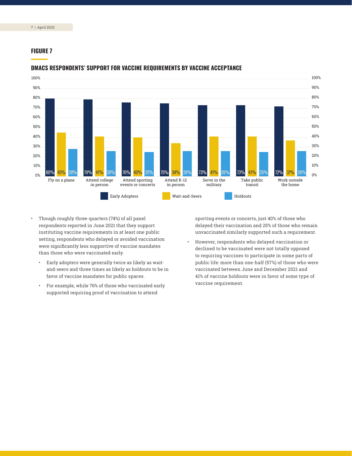#### **FIGURE 7**



#### **DMACS RESPONDENTS' SUPPORT FOR VACCINE REQUIREMENTS BY VACCINE ACCEPTANCE**

- Though roughly three-quarters (74%) of all panel respondents reported in June 2021 that they support instituting vaccine requirements in at least one public setting, respondents who delayed or avoided vaccination were significantly less supportive of vaccine mandates than those who were vaccinated early.
	- Early adopters were generally twice as likely as waitand-seers and three times as likely as holdouts to be in favor of vaccine mandates for public spaces.
	- For example, while 76% of those who vaccinated early supported requiring proof of vaccination to attend

sporting events or concerts, just 40% of those who delayed their vaccination and 25% of those who remain unvaccinated similarly supported such a requirement.

• However, respondents who delayed vaccination or declined to be vaccinated were not totally opposed to requiring vaccines to participate in some parts of public life: more than one-half (57%) of those who were vaccinated between June and December 2021 and 41% of vaccine holdouts were in favor of some type of vaccine requirement.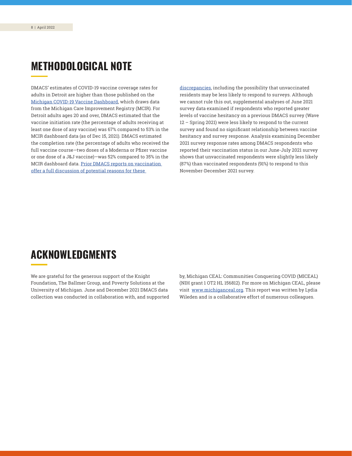### **METHODOLOGICAL NOTE**

DMACS' estimates of COVID-19 vaccine coverage rates for adults in Detroit are higher than those published on the [Michigan COVID-19 Vaccine Dashboard](https://www.michigan.gov/coronavirus/0,9753,7-406-98178_103214-547150--,00.html), which draws data from the Michigan Care Improvement Registry (MCIR). For Detroit adults ages 20 and over, DMACS estimated that the vaccine initiation rate (the percentage of adults receiving at least one dose of any vaccine) was 67% compared to 53% in the MCIR dashboard data (as of Dec 15, 2021). DMACS estimated the completion rate (the percentage of adults who received the full vaccine course—two doses of a Moderna or Pfizer vaccine or one dose of a J&J vaccine)—was 52% compared to 35% in the MCIR dashboard data. [Prior DMACS reports on vaccination](https://detroitsurvey.umich.edu/wp-content/uploads/2021/07/DMACS-Vaccination-and-Trust-Brief-July-2021.pdf)  [offer a full discussion of potential reasons for these](https://detroitsurvey.umich.edu/wp-content/uploads/2021/07/DMACS-Vaccination-and-Trust-Brief-July-2021.pdf) 

[discrepancies](https://detroitsurvey.umich.edu/wp-content/uploads/2021/07/DMACS-Vaccination-and-Trust-Brief-July-2021.pdf), including the possibility that unvaccinated residents may be less likely to respond to surveys. Although we cannot rule this out, supplemental analyses of June 2021 survey data examined if respondents who reported greater levels of vaccine hesitancy on a previous DMACS survey (Wave 12 – Spring 2021) were less likely to respond to the current survey and found no significant relationship between vaccine hesitancy and survey response. Analysis examining December 2021 survey response rates among DMACS respondents who reported their vaccination status in our June-July 2021 survey shows that unvaccinated respondents were slightly less likely (87%) than vaccinated respondents (91%) to respond to this November-December 2021 survey.

### **ACKNOWLEDGMENTS**

We are grateful for the generous support of the Knight Foundation, The Ballmer Group, and Poverty Solutions at the University of Michigan. June and December 2021 DMACS data collection was conducted in collaboration with, and supported by, Michigan CEAL: Communities Conquering COVID (MICEAL) (NIH grant 1 OT2 HL 156812). For more on Michigan CEAL, please visit [www.michiganceal.org](http://www.michiganceal.org). This report was written by Lydia Wileden and is a collaborative effort of numerous colleagues.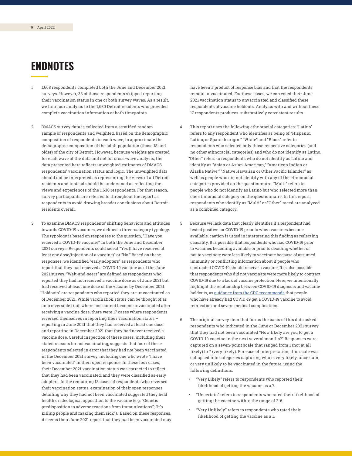## <span id="page-9-0"></span>**ENDNOTES**

- [1](#page-1-0) 1,668 respondents completed both the June and December 2021 surveys. However, 38 of those respondents skipped reporting their vaccination status in one or both survey waves. As a result, we limit our analysis to the 1,630 Detroit residents who provided complete vaccination information at both timepoints.
- [2](#page-1-0) DMACS survey data is collected from a stratified random sample of respondents and weighted, based on the demographic composition of respondents in each wave, to approximate the demographic composition of the adult population (those 18 and older) of the city of Detroit. However, because weights are created for each wave of the data and not for cross-wave analysis, the data presented here reflects unweighted estimates of DMACS respondents' vaccination status and logic. The unweighted data should not be interpreted as representing the views of all Detroit residents and instead should be understood as reflecting the views and experiences of the 1,630 respondents. For that reason, survey participants are referred to throughout the report as respondents to avoid drawing broader conclusions about Detroit residents overall.
- [3](#page-1-0) To examine DMACS respondents' shifting behaviors and attitudes towards COVID-19 vaccines, we defined a three-category typology. The typology is based on responses to the question, "Have you received a COVID-19 vaccine?" in both the June and December 2021 surveys. Respondents could select "Yes (I have received at least one dose/injection of a vaccine)" or "No." Based on these responses, we identified "early adopters" as respondents who report that they had received a COVID-19 vaccine as of the June 2021 survey. "Wait-and-seers" are defined as respondents who reported they had not received a vaccine dose as of June 2021 but had received at least one dose of the vaccine by December 2021. "Holdouts" are respondents who reported they are unvaccinated as of December 2021. While vaccination status can be thought of as an irreversible trait, where one cannot become unvaccinated after receiving a vaccine dose, there were 17 cases where respondents reversed themselves in reporting their vaccination status – reporting in June 2021 that they had received at least one dose and reporting in December 2021 that they had never received a vaccine dose. Careful inspection of these cases, including their stated reasons for not vaccinating, suggests that four of these respondents selected in error that they had not been vaccinated in the December 2021 survey, including one who wrote "I have been vaccinated" in their open response. In these four cases, their December 2021 vaccination status was corrected to reflect that they had been vaccinated, and they were classified as early adopters. In the remaining 13 cases of respondents who reversed their vaccination status, examination of their open responses detailing why they had not been vaccinated suggested they held health or ideological opposition to the vaccine (e.g. "Genetic predisposition to adverse reactions from immunizations"; "It's killing people and making them sick"). Based on these responses, it seems their June 2021 report that they had been vaccinated may

have been a product of response bias and that the respondents remain unvaccinated. For these cases, we corrected their June 2021 vaccination status to unvaccinated and classified these respondents at vaccine holdouts. Analysis with and without these 17 respondents produces substantively consistent results.

- [4](#page-2-0) This report uses the following ethnoracial categories: "Latino" refers to any respondent who identifies as being of "Hispanic, Latino, or Spanish origin." "White" and "Black" refer to respondents who selected only those respective categories (and no other ethnoracial categories) and who do not identify as Latino. "Other" refers to respondents who do not identify as Latino and identify as "Asian or Asian-American," "American Indian or Alaska Native," "Native Hawaiian or Other Pacific Islander" as well as people who did not identify with any of the ethnoracial categories provided on the questionnaire. "Multi" refers to people who do not identify as Latino but who selected more than one ethnoracial category on the questionnaire. In this report, respondents who identify as "Multi" or "Other" raced are analyzed as a combined category.
- [5](#page-3-0) Because we lack data that clearly identifies if a respondent had tested positive for COVID-19 prior to when vaccines became available, caution is urged in interpreting this finding as reflecting causality. It is possible that respondents who had COVID-19 prior to vaccines becoming available or prior to deciding whether or not to vaccinate were less likely to vaccinate because of assumed immunity or conflicting information about if people who contracted COVID-19 should receive a vaccine. It is also possible that respondents who did not vaccinate were more likely to contract COVID-19 due to a lack of vaccine protection. Here, we intentionally highlight the relationship between COVID-19 diagnosis and vaccine holdouts, as [guidance from the CDC recommends](https://www.mayoclinic.org/coronavirus-covid-19/vaccine-if-already-had-covid#:~:text=But%20because%20it) that people who have already had COVID-19 get a COVID-19 vaccine to avoid reinfection and severe medical complications.
- [6](#page-4-0) The original survey item that forms the basis of this data asked respondents who indicated in the June or December 2021 survey that they had not been vaccinated "How likely are you to get a COVID-19 vaccine in the next several months?" Responses were captured on a seven-point scale that ranged from 1 (not at all likely) to 7 (very likely). For ease of interpretation, this scale was collapsed into categories capturing who is very likely, uncertain, or very unlikely to be vaccinated in the future, using the following definitions:
	- "Very Likely" refers to respondents who reported their likelihood of getting the vaccine as a 7.
	- "Uncertain" refers to respondents who rated their likelihood of getting the vaccine within the range of 2-6.
	- "Very Unlikely" refers to respondents who rated their likelihood of getting the vaccine as a 1.